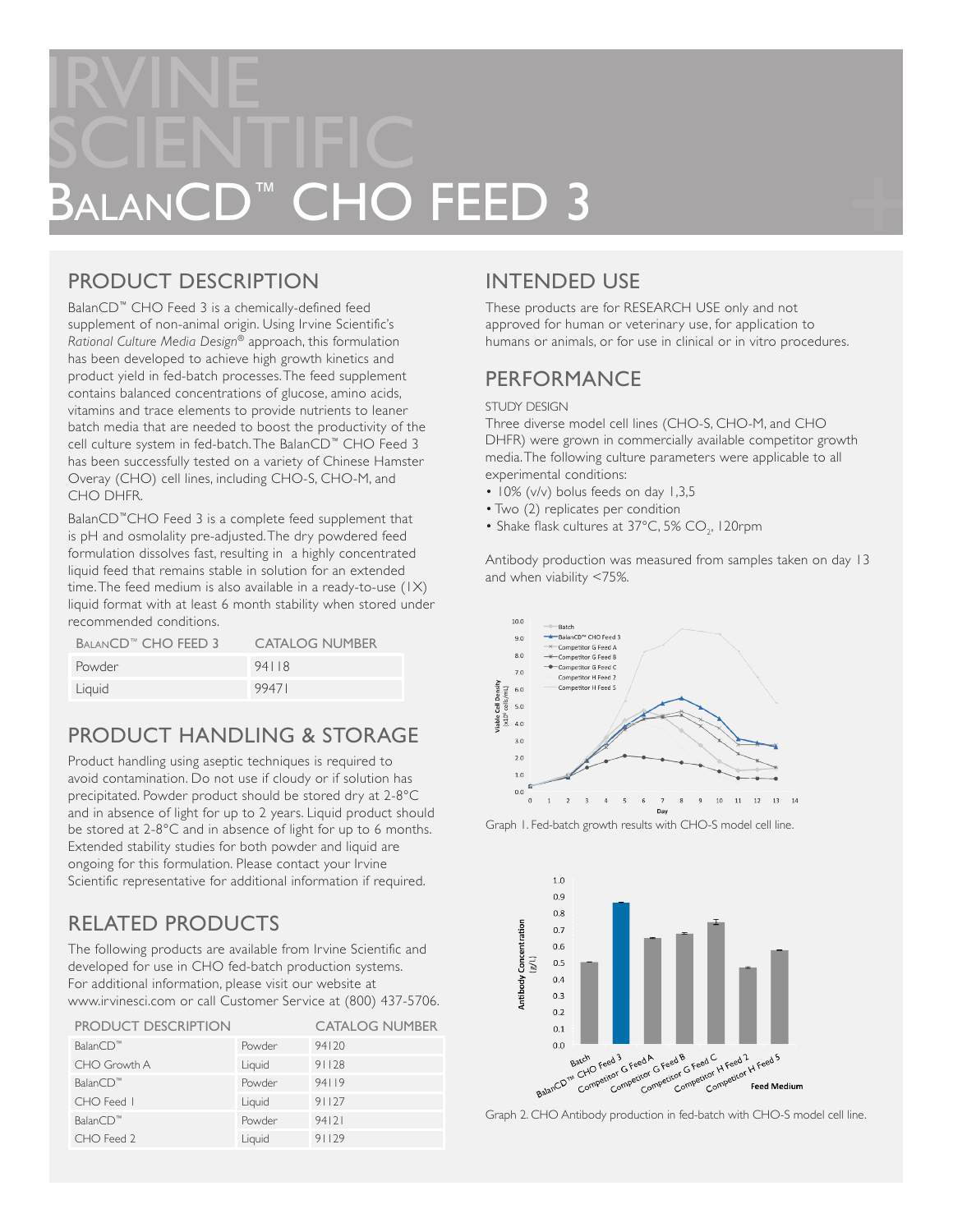# IRVINE SCIENTIFIC HO FEED 3

## PRODUCT DESCRIPTION

BalanCD™ CHO Feed 3 is a chemically-defined feed supplement of non-animal origin. Using Irvine Scientific's *Rational Culture Media Design*® approach, this formulation has been developed to achieve high growth kinetics and product yield in fed-batch processes. The feed supplement contains balanced concentrations of glucose, amino acids, vitamins and trace elements to provide nutrients to leaner batch media that are needed to boost the productivity of the cell culture system in fed-batch. The BalanCD™ CHO Feed 3 has been successfully tested on a variety of Chinese Hamster Overay (CHO) cell lines, including CHO-S, CHO-M, and CHO DHFR.

BalanCD™CHO Feed 3 is a complete feed supplement that is pH and osmolality pre-adjusted. The dry powdered feed formulation dissolves fast, resulting in a highly concentrated liquid feed that remains stable in solution for an extended time. The feed medium is also available in a ready-to-use (1X) liquid format with at least 6 month stability when stored under recommended conditions.

| BALANCD <sup>™</sup> CHO FEED 3 | <b>CATALOG NUMBER</b> |
|---------------------------------|-----------------------|
| Powder                          | 94118                 |
| Liquid                          | 99471                 |

## PRODUCT HANDLING & STORAGE

Product handling using aseptic techniques is required to avoid contamination. Do not use if cloudy or if solution has precipitated. Powder product should be stored dry at 2-8°C and in absence of light for up to 2 years. Liquid product should be stored at 2-8°C and in absence of light for up to 6 months. Extended stability studies for both powder and liquid are ongoing for this formulation. Please contact your Irvine Scientific representative for additional information if required.

## RELATED PRODUCTS

The following products are available from Irvine Scientific and developed for use in CHO fed-batch production systems. For additional information, please visit our website at www.irvinesci.com or call Customer Service at (800) 437-5706.

| <b>PRODUCT DESCRIPTION</b> |        | <b>CATALOG NUMBER</b> |
|----------------------------|--------|-----------------------|
| BalanCD™                   | Powder | 94120                 |
| CHO Growth A               | Liquid | 91128                 |
| BalanCD <sup>™</sup>       | Powder | 94119                 |
| CHO Feed I                 | Liquid | 91127                 |
| BalanCD <sup>™</sup>       | Powder | 94121                 |
| CHO Feed 2                 | Liquid | 91129                 |

## INTENDED USE

These products are for RESEARCH USE only and not approved for human or veterinary use, for application to humans or animals, or for use in clinical or in vitro procedures.

## PERFORMANCE

#### STUDY DESIGN

Three diverse model cell lines (CHO-S, CHO-M, and CHO DHFR) were grown in commercially available competitor growth media. The following culture parameters were applicable to all experimental conditions:

- 10% (v/v) bolus feeds on day 1,3,5
- Two (2) replicates per condition
- Shake flask cultures at  $37^{\circ}$ C, 5% CO<sub>2</sub>, 120rpm

Antibody production was measured from samples taken on day 13 and when viability <75%.



Graph 1. Fed-batch growth results with CHO-S model cell line.